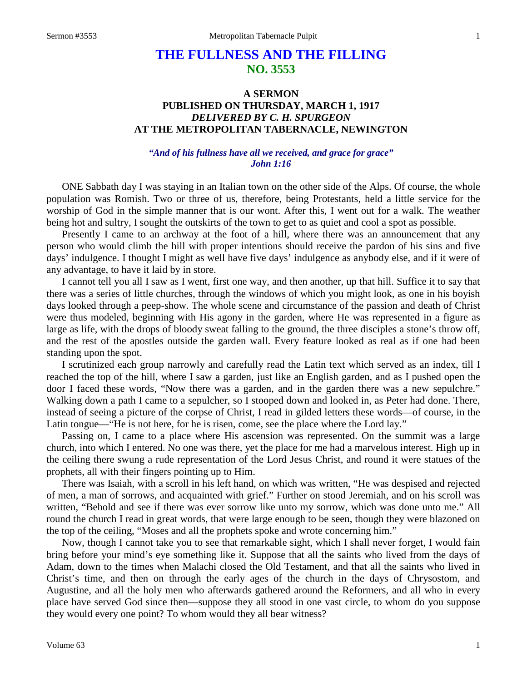## **THE FULLNESS AND THE FILLING NO. 3553**

## **A SERMON PUBLISHED ON THURSDAY, MARCH 1, 1917** *DELIVERED BY C. H. SPURGEON* **AT THE METROPOLITAN TABERNACLE, NEWINGTON**

## *"And of his fullness have all we received, and grace for grace" John 1:16*

ONE Sabbath day I was staying in an Italian town on the other side of the Alps. Of course, the whole population was Romish. Two or three of us, therefore, being Protestants, held a little service for the worship of God in the simple manner that is our wont. After this, I went out for a walk. The weather being hot and sultry, I sought the outskirts of the town to get to as quiet and cool a spot as possible.

Presently I came to an archway at the foot of a hill, where there was an announcement that any person who would climb the hill with proper intentions should receive the pardon of his sins and five days' indulgence. I thought I might as well have five days' indulgence as anybody else, and if it were of any advantage, to have it laid by in store.

I cannot tell you all I saw as I went, first one way, and then another, up that hill. Suffice it to say that there was a series of little churches, through the windows of which you might look, as one in his boyish days looked through a peep-show. The whole scene and circumstance of the passion and death of Christ were thus modeled, beginning with His agony in the garden, where He was represented in a figure as large as life, with the drops of bloody sweat falling to the ground, the three disciples a stone's throw off, and the rest of the apostles outside the garden wall. Every feature looked as real as if one had been standing upon the spot.

I scrutinized each group narrowly and carefully read the Latin text which served as an index, till I reached the top of the hill, where I saw a garden, just like an English garden, and as I pushed open the door I faced these words, "Now there was a garden, and in the garden there was a new sepulchre." Walking down a path I came to a sepulcher, so I stooped down and looked in, as Peter had done. There, instead of seeing a picture of the corpse of Christ, I read in gilded letters these words—of course, in the Latin tongue—"He is not here, for he is risen, come, see the place where the Lord lay."

Passing on, I came to a place where His ascension was represented. On the summit was a large church, into which I entered. No one was there, yet the place for me had a marvelous interest. High up in the ceiling there swung a rude representation of the Lord Jesus Christ, and round it were statues of the prophets, all with their fingers pointing up to Him.

There was Isaiah, with a scroll in his left hand, on which was written, "He was despised and rejected of men, a man of sorrows, and acquainted with grief." Further on stood Jeremiah, and on his scroll was written, "Behold and see if there was ever sorrow like unto my sorrow, which was done unto me." All round the church I read in great words, that were large enough to be seen, though they were blazoned on the top of the ceiling, "Moses and all the prophets spoke and wrote concerning him."

Now, though I cannot take you to see that remarkable sight, which I shall never forget, I would fain bring before your mind's eye something like it. Suppose that all the saints who lived from the days of Adam, down to the times when Malachi closed the Old Testament, and that all the saints who lived in Christ's time, and then on through the early ages of the church in the days of Chrysostom, and Augustine, and all the holy men who afterwards gathered around the Reformers, and all who in every place have served God since then—suppose they all stood in one vast circle, to whom do you suppose they would every one point? To whom would they all bear witness?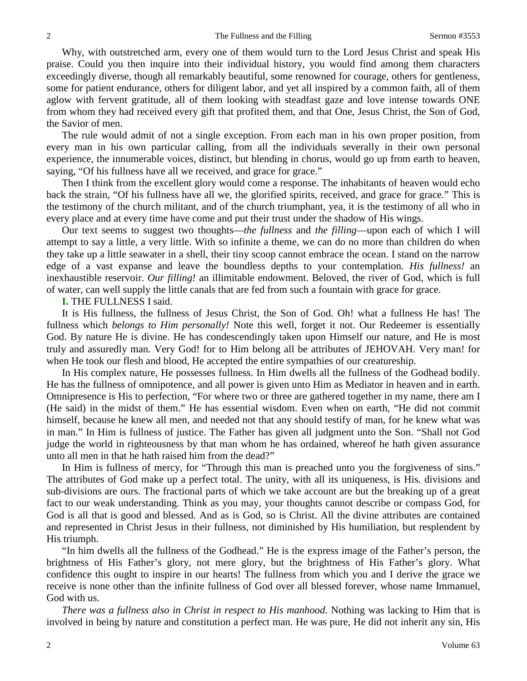Why, with outstretched arm, every one of them would turn to the Lord Jesus Christ and speak His praise. Could you then inquire into their individual history, you would find among them characters exceedingly diverse, though all remarkably beautiful, some renowned for courage, others for gentleness, some for patient endurance, others for diligent labor, and yet all inspired by a common faith, all of them aglow with fervent gratitude, all of them looking with steadfast gaze and love intense towards ONE from whom they had received every gift that profited them, and that One, Jesus Christ, the Son of God, the Savior of men.

The rule would admit of not a single exception. From each man in his own proper position, from every man in his own particular calling, from all the individuals severally in their own personal experience, the innumerable voices, distinct, but blending in chorus, would go up from earth to heaven, saying, "Of his fullness have all we received, and grace for grace."

Then I think from the excellent glory would come a response. The inhabitants of heaven would echo back the strain, "Of his fullness have all we, the glorified spirits, received, and grace for grace." This is the testimony of the church militant, and of the church triumphant, yea, it is the testimony of all who in every place and at every time have come and put their trust under the shadow of His wings.

Our text seems to suggest two thoughts—*the fullness* and *the filling*—upon each of which I will attempt to say a little, a very little. With so infinite a theme, we can do no more than children do when they take up a little seawater in a shell, their tiny scoop cannot embrace the ocean. I stand on the narrow edge of a vast expanse and leave the boundless depths to your contemplation. *His fullness!* an inexhaustible reservoir. *Our filling!* an illimitable endowment. Beloved, the river of God, which is full of water, can well supply the little canals that are fed from such a fountain with grace for grace.

**I.** THE FULLNESS I said.

It is His fullness, the fullness of Jesus Christ, the Son of God. Oh! what a fullness He has! The fullness which *belongs to Him personally!* Note this well, forget it not. Our Redeemer is essentially God. By nature He is divine. He has condescendingly taken upon Himself our nature, and He is most truly and assuredly man. Very God! for to Him belong all be attributes of JEHOVAH. Very man! for when He took our flesh and blood, He accepted the entire sympathies of our creatureship.

In His complex nature, He possesses fullness. In Him dwells all the fullness of the Godhead bodily. He has the fullness of omnipotence, and all power is given unto Him as Mediator in heaven and in earth. Omnipresence is His to perfection, "For where two or three are gathered together in my name, there am I (He said) in the midst of them." He has essential wisdom. Even when on earth, "He did not commit himself, because he knew all men, and needed not that any should testify of man, for he knew what was in man." In Him is fullness of justice. The Father has given all judgment unto the Son. "Shall not God judge the world in righteousness by that man whom he has ordained, whereof he hath given assurance unto all men in that he hath raised him from the dead?"

In Him is fullness of mercy, for "Through this man is preached unto you the forgiveness of sins." The attributes of God make up a perfect total. The unity, with all its uniqueness, is His. divisions and sub-divisions are ours. The fractional parts of which we take account are but the breaking up of a great fact to our weak understanding. Think as you may, your thoughts cannot describe or compass God, for God is all that is good and blessed. And as is God, so is Christ. All the divine attributes are contained and represented in Christ Jesus in their fullness, not diminished by His humiliation, but resplendent by His triumph.

"In him dwells all the fullness of the Godhead." He is the express image of the Father's person, the brightness of His Father's glory, not mere glory, but the brightness of His Father's glory. What confidence this ought to inspire in our hearts! The fullness from which you and I derive the grace we receive is none other than the infinite fullness of God over all blessed forever, whose name Immanuel, God with us.

*There was a fullness also in Christ in respect to His manhood*. Nothing was lacking to Him that is involved in being by nature and constitution a perfect man. He was pure, He did not inherit any sin, His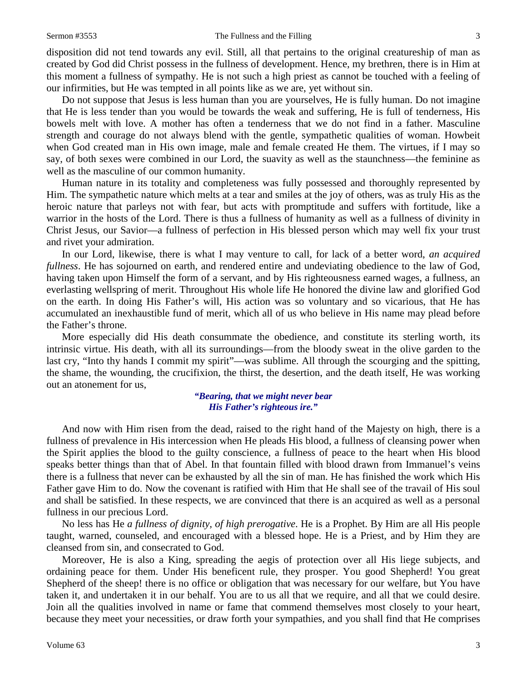disposition did not tend towards any evil. Still, all that pertains to the original creatureship of man as created by God did Christ possess in the fullness of development. Hence, my brethren, there is in Him at this moment a fullness of sympathy. He is not such a high priest as cannot be touched with a feeling of our infirmities, but He was tempted in all points like as we are, yet without sin.

Do not suppose that Jesus is less human than you are yourselves, He is fully human. Do not imagine that He is less tender than you would be towards the weak and suffering, He is full of tenderness, His bowels melt with love. A mother has often a tenderness that we do not find in a father. Masculine strength and courage do not always blend with the gentle, sympathetic qualities of woman. Howbeit when God created man in His own image, male and female created He them. The virtues, if I may so say, of both sexes were combined in our Lord, the suavity as well as the staunchness—the feminine as well as the masculine of our common humanity.

Human nature in its totality and completeness was fully possessed and thoroughly represented by Him. The sympathetic nature which melts at a tear and smiles at the joy of others, was as truly His as the heroic nature that parleys not with fear, but acts with promptitude and suffers with fortitude, like a warrior in the hosts of the Lord. There is thus a fullness of humanity as well as a fullness of divinity in Christ Jesus, our Savior—a fullness of perfection in His blessed person which may well fix your trust and rivet your admiration.

In our Lord, likewise, there is what I may venture to call, for lack of a better word, *an acquired fullness*. He has sojourned on earth, and rendered entire and undeviating obedience to the law of God, having taken upon Himself the form of a servant, and by His righteousness earned wages, a fullness, an everlasting wellspring of merit. Throughout His whole life He honored the divine law and glorified God on the earth. In doing His Father's will, His action was so voluntary and so vicarious, that He has accumulated an inexhaustible fund of merit, which all of us who believe in His name may plead before the Father's throne.

More especially did His death consummate the obedience, and constitute its sterling worth, its intrinsic virtue. His death, with all its surroundings—from the bloody sweat in the olive garden to the last cry, "Into thy hands I commit my spirit"—was sublime. All through the scourging and the spitting, the shame, the wounding, the crucifixion, the thirst, the desertion, and the death itself, He was working out an atonement for us,

## *"Bearing, that we might never bear His Father's righteous ire."*

And now with Him risen from the dead, raised to the right hand of the Majesty on high, there is a fullness of prevalence in His intercession when He pleads His blood, a fullness of cleansing power when the Spirit applies the blood to the guilty conscience, a fullness of peace to the heart when His blood speaks better things than that of Abel. In that fountain filled with blood drawn from Immanuel's veins there is a fullness that never can be exhausted by all the sin of man. He has finished the work which His Father gave Him to do. Now the covenant is ratified with Him that He shall see of the travail of His soul and shall be satisfied. In these respects, we are convinced that there is an acquired as well as a personal fullness in our precious Lord.

No less has He *a fullness of dignity, of high prerogative*. He is a Prophet. By Him are all His people taught, warned, counseled, and encouraged with a blessed hope. He is a Priest, and by Him they are cleansed from sin, and consecrated to God.

Moreover, He is also a King, spreading the aegis of protection over all His liege subjects, and ordaining peace for them. Under His beneficent rule, they prosper. You good Shepherd! You great Shepherd of the sheep! there is no office or obligation that was necessary for our welfare, but You have taken it, and undertaken it in our behalf. You are to us all that we require, and all that we could desire. Join all the qualities involved in name or fame that commend themselves most closely to your heart, because they meet your necessities, or draw forth your sympathies, and you shall find that He comprises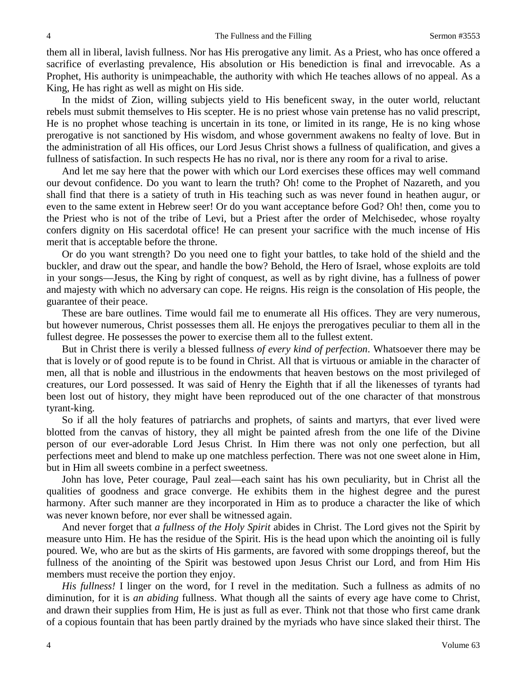them all in liberal, lavish fullness. Nor has His prerogative any limit. As a Priest, who has once offered a sacrifice of everlasting prevalence, His absolution or His benediction is final and irrevocable. As a Prophet, His authority is unimpeachable, the authority with which He teaches allows of no appeal. As a King, He has right as well as might on His side.

In the midst of Zion, willing subjects yield to His beneficent sway, in the outer world, reluctant rebels must submit themselves to His scepter. He is no priest whose vain pretense has no valid prescript, He is no prophet whose teaching is uncertain in its tone, or limited in its range, He is no king whose prerogative is not sanctioned by His wisdom, and whose government awakens no fealty of love. But in the administration of all His offices, our Lord Jesus Christ shows a fullness of qualification, and gives a fullness of satisfaction. In such respects He has no rival, nor is there any room for a rival to arise.

And let me say here that the power with which our Lord exercises these offices may well command our devout confidence. Do you want to learn the truth? Oh! come to the Prophet of Nazareth, and you shall find that there is a satiety of truth in His teaching such as was never found in heathen augur, or even to the same extent in Hebrew seer! Or do you want acceptance before God? Oh! then, come you to the Priest who is not of the tribe of Levi, but a Priest after the order of Melchisedec, whose royalty confers dignity on His sacerdotal office! He can present your sacrifice with the much incense of His merit that is acceptable before the throne.

Or do you want strength? Do you need one to fight your battles, to take hold of the shield and the buckler, and draw out the spear, and handle the bow? Behold, the Hero of Israel, whose exploits are told in your songs—Jesus, the King by right of conquest, as well as by right divine, has a fullness of power and majesty with which no adversary can cope. He reigns. His reign is the consolation of His people, the guarantee of their peace.

These are bare outlines. Time would fail me to enumerate all His offices. They are very numerous, but however numerous, Christ possesses them all. He enjoys the prerogatives peculiar to them all in the fullest degree. He possesses the power to exercise them all to the fullest extent.

But in Christ there is verily a blessed fullness *of every kind of perfection*. Whatsoever there may be that is lovely or of good repute is to be found in Christ. All that is virtuous or amiable in the character of men, all that is noble and illustrious in the endowments that heaven bestows on the most privileged of creatures, our Lord possessed. It was said of Henry the Eighth that if all the likenesses of tyrants had been lost out of history, they might have been reproduced out of the one character of that monstrous tyrant-king.

So if all the holy features of patriarchs and prophets, of saints and martyrs, that ever lived were blotted from the canvas of history, they all might be painted afresh from the one life of the Divine person of our ever-adorable Lord Jesus Christ. In Him there was not only one perfection, but all perfections meet and blend to make up one matchless perfection. There was not one sweet alone in Him, but in Him all sweets combine in a perfect sweetness.

John has love, Peter courage, Paul zeal—each saint has his own peculiarity, but in Christ all the qualities of goodness and grace converge. He exhibits them in the highest degree and the purest harmony. After such manner are they incorporated in Him as to produce a character the like of which was never known before, nor ever shall be witnessed again.

And never forget that *a fullness of the Holy Spirit* abides in Christ. The Lord gives not the Spirit by measure unto Him. He has the residue of the Spirit. His is the head upon which the anointing oil is fully poured. We, who are but as the skirts of His garments, are favored with some droppings thereof, but the fullness of the anointing of the Spirit was bestowed upon Jesus Christ our Lord, and from Him His members must receive the portion they enjoy.

*His fullness!* I linger on the word, for I revel in the meditation. Such a fullness as admits of no diminution, for it is *an abiding* fullness. What though all the saints of every age have come to Christ, and drawn their supplies from Him, He is just as full as ever. Think not that those who first came drank of a copious fountain that has been partly drained by the myriads who have since slaked their thirst. The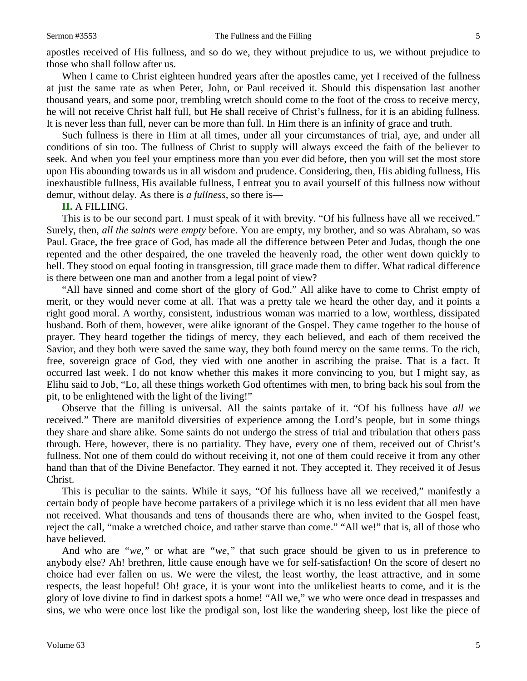When I came to Christ eighteen hundred years after the apostles came, yet I received of the fullness at just the same rate as when Peter, John, or Paul received it. Should this dispensation last another thousand years, and some poor, trembling wretch should come to the foot of the cross to receive mercy, he will not receive Christ half full, but He shall receive of Christ's fullness, for it is an abiding fullness. It is never less than full, never can be more than full. In Him there is an infinity of grace and truth.

Such fullness is there in Him at all times, under all your circumstances of trial, aye, and under all conditions of sin too. The fullness of Christ to supply will always exceed the faith of the believer to seek. And when you feel your emptiness more than you ever did before, then you will set the most store upon His abounding towards us in all wisdom and prudence. Considering, then, His abiding fullness, His inexhaustible fullness, His available fullness, I entreat you to avail yourself of this fullness now without demur, without delay. As there is *a fullness,* so there is—

**II.** A FILLING.

This is to be our second part. I must speak of it with brevity. "Of his fullness have all we received." Surely, then, *all the saints were empty* before. You are empty, my brother, and so was Abraham, so was Paul. Grace, the free grace of God, has made all the difference between Peter and Judas, though the one repented and the other despaired, the one traveled the heavenly road, the other went down quickly to hell. They stood on equal footing in transgression, till grace made them to differ. What radical difference is there between one man and another from a legal point of view?

"All have sinned and come short of the glory of God." All alike have to come to Christ empty of merit, or they would never come at all. That was a pretty tale we heard the other day, and it points a right good moral. A worthy, consistent, industrious woman was married to a low, worthless, dissipated husband. Both of them, however, were alike ignorant of the Gospel. They came together to the house of prayer. They heard together the tidings of mercy, they each believed, and each of them received the Savior, and they both were saved the same way, they both found mercy on the same terms. To the rich, free, sovereign grace of God, they vied with one another in ascribing the praise. That is a fact. It occurred last week. I do not know whether this makes it more convincing to you, but I might say, as Elihu said to Job, "Lo, all these things worketh God oftentimes with men, to bring back his soul from the pit, to be enlightened with the light of the living!"

Observe that the filling is universal. All the saints partake of it. "Of his fullness have *all we*  received." There are manifold diversities of experience among the Lord's people, but in some things they share and share alike. Some saints do not undergo the stress of trial and tribulation that others pass through. Here, however, there is no partiality. They have, every one of them, received out of Christ's fullness. Not one of them could do without receiving it, not one of them could receive it from any other hand than that of the Divine Benefactor. They earned it not. They accepted it. They received it of Jesus Christ.

This is peculiar to the saints. While it says, "Of his fullness have all we received," manifestly a certain body of people have become partakers of a privilege which it is no less evident that all men have not received. What thousands and tens of thousands there are who, when invited to the Gospel feast, reject the call, "make a wretched choice, and rather starve than come." "All we!" that is, all of those who have believed.

And who are *"we,"* or what are *"we,"* that such grace should be given to us in preference to anybody else? Ah! brethren, little cause enough have we for self-satisfaction! On the score of desert no choice had ever fallen on us. We were the vilest, the least worthy, the least attractive, and in some respects, the least hopeful! Oh! grace, it is your wont into the unlikeliest hearts to come, and it is the glory of love divine to find in darkest spots a home! "All we," we who were once dead in trespasses and sins, we who were once lost like the prodigal son, lost like the wandering sheep, lost like the piece of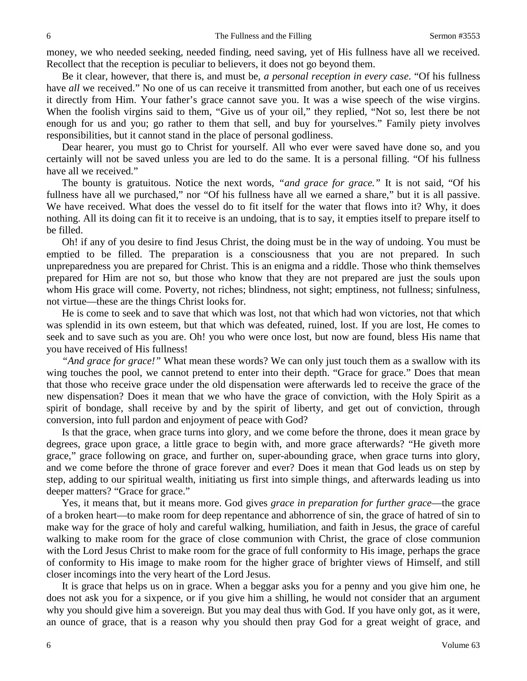money, we who needed seeking, needed finding, need saving, yet of His fullness have all we received. Recollect that the reception is peculiar to believers, it does not go beyond them.

Be it clear, however, that there is, and must be, *a personal reception in every case*. "Of his fullness have *all* we received." No one of us can receive it transmitted from another, but each one of us receives it directly from Him. Your father's grace cannot save you. It was a wise speech of the wise virgins. When the foolish virgins said to them, "Give us of your oil," they replied, "Not so, lest there be not enough for us and you; go rather to them that sell, and buy for yourselves." Family piety involves responsibilities, but it cannot stand in the place of personal godliness.

Dear hearer, you must go to Christ for yourself. All who ever were saved have done so, and you certainly will not be saved unless you are led to do the same. It is a personal filling. "Of his fullness have all we received."

The bounty is gratuitous. Notice the next words, *"and grace for grace."* It is not said, "Of his fullness have all we purchased," nor "Of his fullness have all we earned a share," but it is all passive. We have received. What does the vessel do to fit itself for the water that flows into it? Why, it does nothing. All its doing can fit it to receive is an undoing, that is to say, it empties itself to prepare itself to be filled.

Oh! if any of you desire to find Jesus Christ, the doing must be in the way of undoing. You must be emptied to be filled. The preparation is a consciousness that you are not prepared. In such unpreparedness you are prepared for Christ. This is an enigma and a riddle. Those who think themselves prepared for Him are not so, but those who know that they are not prepared are just the souls upon whom His grace will come. Poverty, not riches; blindness, not sight; emptiness, not fullness; sinfulness, not virtue—these are the things Christ looks for.

He is come to seek and to save that which was lost, not that which had won victories, not that which was splendid in its own esteem, but that which was defeated, ruined, lost. If you are lost, He comes to seek and to save such as you are. Oh! you who were once lost, but now are found, bless His name that you have received of His fullness!

*"And grace for grace!"* What mean these words? We can only just touch them as a swallow with its wing touches the pool, we cannot pretend to enter into their depth. "Grace for grace." Does that mean that those who receive grace under the old dispensation were afterwards led to receive the grace of the new dispensation? Does it mean that we who have the grace of conviction, with the Holy Spirit as a spirit of bondage, shall receive by and by the spirit of liberty, and get out of conviction, through conversion, into full pardon and enjoyment of peace with God?

Is that the grace, when grace turns into glory, and we come before the throne, does it mean grace by degrees, grace upon grace, a little grace to begin with, and more grace afterwards? "He giveth more grace," grace following on grace, and further on, super-abounding grace, when grace turns into glory, and we come before the throne of grace forever and ever? Does it mean that God leads us on step by step, adding to our spiritual wealth, initiating us first into simple things, and afterwards leading us into deeper matters? "Grace for grace."

Yes, it means that, but it means more. God gives *grace in preparation for further grace*—the grace of a broken heart—to make room for deep repentance and abhorrence of sin, the grace of hatred of sin to make way for the grace of holy and careful walking, humiliation, and faith in Jesus, the grace of careful walking to make room for the grace of close communion with Christ, the grace of close communion with the Lord Jesus Christ to make room for the grace of full conformity to His image, perhaps the grace of conformity to His image to make room for the higher grace of brighter views of Himself, and still closer incomings into the very heart of the Lord Jesus.

It is grace that helps us on in grace. When a beggar asks you for a penny and you give him one, he does not ask you for a sixpence, or if you give him a shilling, he would not consider that an argument why you should give him a sovereign. But you may deal thus with God. If you have only got, as it were, an ounce of grace, that is a reason why you should then pray God for a great weight of grace, and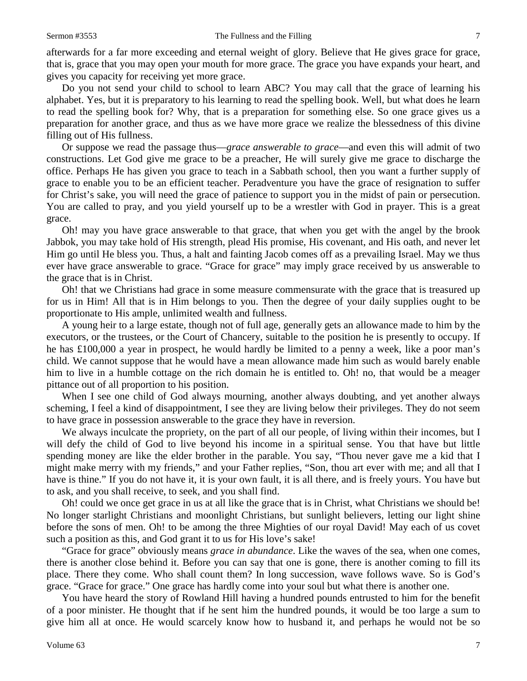afterwards for a far more exceeding and eternal weight of glory. Believe that He gives grace for grace, that is, grace that you may open your mouth for more grace. The grace you have expands your heart, and gives you capacity for receiving yet more grace.

Do you not send your child to school to learn ABC? You may call that the grace of learning his alphabet. Yes, but it is preparatory to his learning to read the spelling book. Well, but what does he learn to read the spelling book for? Why, that is a preparation for something else. So one grace gives us a preparation for another grace, and thus as we have more grace we realize the blessedness of this divine filling out of His fullness.

Or suppose we read the passage thus—*grace answerable to grace*—and even this will admit of two constructions. Let God give me grace to be a preacher, He will surely give me grace to discharge the office. Perhaps He has given you grace to teach in a Sabbath school, then you want a further supply of grace to enable you to be an efficient teacher. Peradventure you have the grace of resignation to suffer for Christ's sake, you will need the grace of patience to support you in the midst of pain or persecution. You are called to pray, and you yield yourself up to be a wrestler with God in prayer. This is a great grace.

Oh! may you have grace answerable to that grace, that when you get with the angel by the brook Jabbok, you may take hold of His strength, plead His promise, His covenant, and His oath, and never let Him go until He bless you. Thus, a halt and fainting Jacob comes off as a prevailing Israel. May we thus ever have grace answerable to grace. "Grace for grace" may imply grace received by us answerable to the grace that is in Christ.

Oh! that we Christians had grace in some measure commensurate with the grace that is treasured up for us in Him! All that is in Him belongs to you. Then the degree of your daily supplies ought to be proportionate to His ample, unlimited wealth and fullness.

A young heir to a large estate, though not of full age, generally gets an allowance made to him by the executors, or the trustees, or the Court of Chancery, suitable to the position he is presently to occupy. If he has £100,000 a year in prospect, he would hardly be limited to a penny a week, like a poor man's child. We cannot suppose that he would have a mean allowance made him such as would barely enable him to live in a humble cottage on the rich domain he is entitled to. Oh! no, that would be a meager pittance out of all proportion to his position.

When I see one child of God always mourning, another always doubting, and yet another always scheming, I feel a kind of disappointment, I see they are living below their privileges. They do not seem to have grace in possession answerable to the grace they have in reversion.

We always inculcate the propriety, on the part of all our people, of living within their incomes, but I will defy the child of God to live beyond his income in a spiritual sense. You that have but little spending money are like the elder brother in the parable. You say, "Thou never gave me a kid that I might make merry with my friends," and your Father replies, "Son, thou art ever with me; and all that I have is thine." If you do not have it, it is your own fault, it is all there, and is freely yours. You have but to ask, and you shall receive, to seek, and you shall find.

Oh! could we once get grace in us at all like the grace that is in Christ, what Christians we should be! No longer starlight Christians and moonlight Christians, but sunlight believers, letting our light shine before the sons of men. Oh! to be among the three Mighties of our royal David! May each of us covet such a position as this, and God grant it to us for His love's sake!

"Grace for grace" obviously means *grace in abundance*. Like the waves of the sea, when one comes, there is another close behind it. Before you can say that one is gone, there is another coming to fill its place. There they come. Who shall count them? In long succession, wave follows wave. So is God's grace. "Grace for grace." One grace has hardly come into your soul but what there is another one.

You have heard the story of Rowland Hill having a hundred pounds entrusted to him for the benefit of a poor minister. He thought that if he sent him the hundred pounds, it would be too large a sum to give him all at once. He would scarcely know how to husband it, and perhaps he would not be so